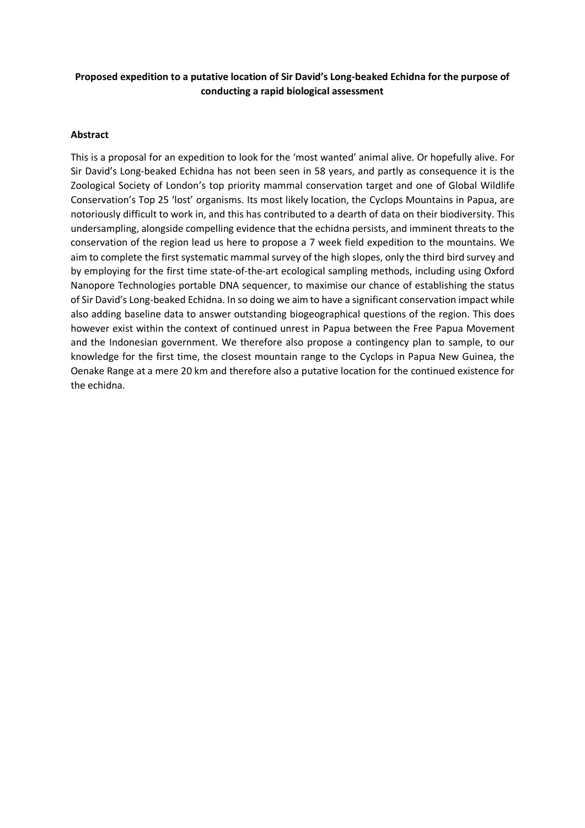## **Proposed expedition to a putative location of Sir David's Long-beaked Echidna for the purpose of conducting a rapid biological assessment**

#### **Abstract**

This is a proposal for an expedition to look for the 'most wanted' animal alive. Or hopefully alive. For Sir David's Long-beaked Echidna has not been seen in 58 years, and partly as consequence it is the Zoological Society of London's top priority mammal conservation target and one of Global Wildlife Conservation's Top 25 'lost' organisms. Its most likely location, the Cyclops Mountains in Papua, are notoriously difficult to work in, and this has contributed to a dearth of data on their biodiversity. This undersampling, alongside compelling evidence that the echidna persists, and imminent threats to the conservation of the region lead us here to propose a 7 week field expedition to the mountains. We aim to complete the first systematic mammal survey of the high slopes, only the third bird survey and by employing for the first time state-of-the-art ecological sampling methods, including using Oxford Nanopore Technologies portable DNA sequencer, to maximise our chance of establishing the status of Sir David's Long-beaked Echidna. In so doing we aim to have a significant conservation impact while also adding baseline data to answer outstanding biogeographical questions of the region. This does however exist within the context of continued unrest in Papua between the Free Papua Movement and the Indonesian government. We therefore also propose a contingency plan to sample, to our knowledge for the first time, the closest mountain range to the Cyclops in Papua New Guinea, the Oenake Range at a mere 20 km and therefore also a putative location for the continued existence for the echidna.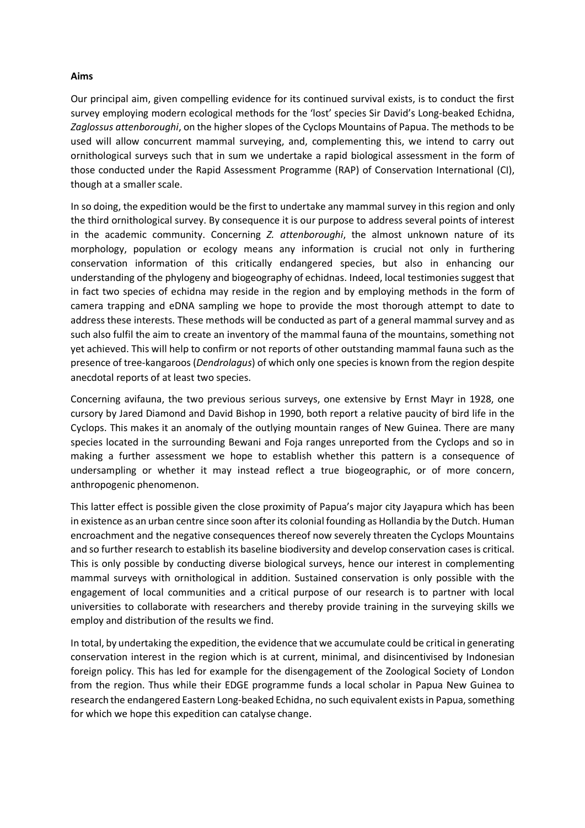#### **Aims**

Our principal aim, given compelling evidence for its continued survival exists, is to conduct the first survey employing modern ecological methods for the 'lost' species Sir David's Long-beaked Echidna, *Zaglossus attenboroughi*, on the higher slopes of the Cyclops Mountains of Papua. The methods to be used will allow concurrent mammal surveying, and, complementing this, we intend to carry out ornithological surveys such that in sum we undertake a rapid biological assessment in the form of those conducted under the Rapid Assessment Programme (RAP) of Conservation International (CI), though at a smaller scale.

In so doing, the expedition would be the first to undertake any mammal survey in this region and only the third ornithological survey. By consequence it is our purpose to address several points of interest in the academic community. Concerning *Z. attenboroughi*, the almost unknown nature of its morphology, population or ecology means any information is crucial not only in furthering conservation information of this critically endangered species, but also in enhancing our understanding of the phylogeny and biogeography of echidnas. Indeed, local testimonies suggest that in fact two species of echidna may reside in the region and by employing methods in the form of camera trapping and eDNA sampling we hope to provide the most thorough attempt to date to address these interests. These methods will be conducted as part of a general mammal survey and as such also fulfil the aim to create an inventory of the mammal fauna of the mountains, something not yet achieved. This will help to confirm or not reports of other outstanding mammal fauna such as the presence of tree-kangaroos (*Dendrolagus*) of which only one species is known from the region despite anecdotal reports of at least two species.

Concerning avifauna, the two previous serious surveys, one extensive by Ernst Mayr in 1928, one cursory by Jared Diamond and David Bishop in 1990, both report a relative paucity of bird life in the Cyclops. This makes it an anomaly of the outlying mountain ranges of New Guinea. There are many species located in the surrounding Bewani and Foja ranges unreported from the Cyclops and so in making a further assessment we hope to establish whether this pattern is a consequence of undersampling or whether it may instead reflect a true biogeographic, or of more concern, anthropogenic phenomenon.

This latter effect is possible given the close proximity of Papua's major city Jayapura which has been in existence as an urban centre since soon afterits colonial founding as Hollandia by the Dutch. Human encroachment and the negative consequences thereof now severely threaten the Cyclops Mountains and so further research to establish its baseline biodiversity and develop conservation cases is critical. This is only possible by conducting diverse biological surveys, hence our interest in complementing mammal surveys with ornithological in addition. Sustained conservation is only possible with the engagement of local communities and a critical purpose of our research is to partner with local universities to collaborate with researchers and thereby provide training in the surveying skills we employ and distribution of the results we find.

In total, by undertaking the expedition, the evidence that we accumulate could be critical in generating conservation interest in the region which is at current, minimal, and disincentivised by Indonesian foreign policy. This has led for example for the disengagement of the Zoological Society of London from the region. Thus while their EDGE programme funds a local scholar in Papua New Guinea to research the endangered Eastern Long-beaked Echidna, no such equivalent exists in Papua, something for which we hope this expedition can catalyse change.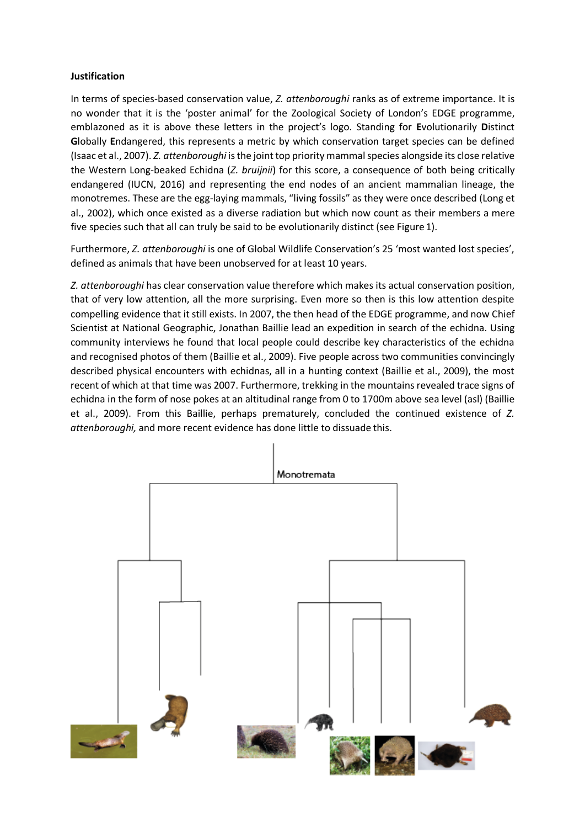## **Justification**

In terms of species-based conservation value, *Z. attenboroughi* ranks as of extreme importance. It is no wonder that it is the 'poster animal' for the Zoological Society of London's EDGE programme, emblazoned as it is above these letters in the project's logo. Standing for **E**volutionarily **D**istinct **G**lobally **E**ndangered, this represents a metric by which conservation target species can be defined (Isaac et al., 2007). *Z. attenboroughi* isthe jointtop priority mammalspecies alongside its close relative the Western Long-beaked Echidna (*Z. bruijnii*) for this score, a consequence of both being critically endangered (IUCN, 2016) and representing the end nodes of an ancient mammalian lineage, the monotremes. These are the egg-laying mammals, "living fossils" as they were once described (Long et al., 2002), which once existed as a diverse radiation but which now count as their members a mere five species such that all can truly be said to be evolutionarily distinct (see Figure 1).

Furthermore, *Z. attenboroughi* is one of Global Wildlife Conservation's 25 'most wanted lost species', defined as animals that have been unobserved for at least 10 years.

*Z. attenboroughi* has clear conservation value therefore which makes its actual conservation position, that of very low attention, all the more surprising. Even more so then is this low attention despite compelling evidence that it still exists. In 2007, the then head of the EDGE programme, and now Chief Scientist at National Geographic, Jonathan Baillie lead an expedition in search of the echidna. Using community interviews he found that local people could describe key characteristics of the echidna and recognised photos of them (Baillie et al., 2009). Five people across two communities convincingly described physical encounters with echidnas, all in a hunting context (Baillie et al., 2009), the most recent of which at that time was 2007. Furthermore, trekking in the mountains revealed trace signs of echidna in the form of nose pokes at an altitudinal range from 0 to 1700m above sea level (asl) (Baillie et al., 2009). From this Baillie, perhaps prematurely, concluded the continued existence of *Z. attenboroughi,* and more recent evidence has done little to dissuade this.

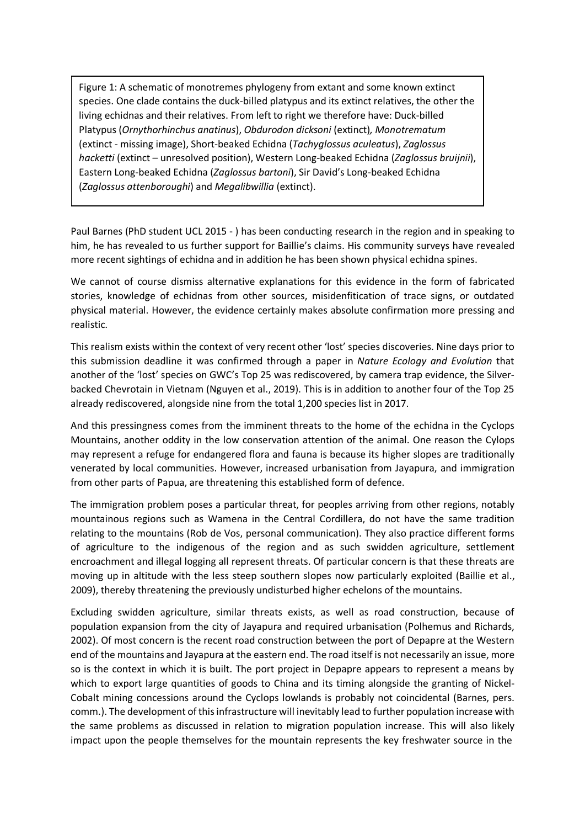Figure 1: A schematic of monotremes phylogeny from extant and some known extinct species. One clade contains the duck-billed platypus and its extinct relatives, the other the living echidnas and their relatives. From left to right we therefore have: Duck-billed Platypus (*Ornythorhinchus anatinus*), *Obdurodon dicksoni* (extinct)*, Monotrematum*  (extinct - missing image), Short-beaked Echidna (*Tachyglossus aculeatus*), *Zaglossus hacketti* (extinct – unresolved position), Western Long-beaked Echidna (*Zaglossus bruijnii*), Eastern Long-beaked Echidna (*Zaglossus bartoni*), Sir David's Long-beaked Echidna (*Zaglossus attenboroughi*) and *Megalibwillia* (extinct).

Paul Barnes (PhD student UCL 2015 - ) has been conducting research in the region and in speaking to him, he has revealed to us further support for Baillie's claims. His community surveys have revealed more recent sightings of echidna and in addition he has been shown physical echidna spines.

We cannot of course dismiss alternative explanations for this evidence in the form of fabricated stories, knowledge of echidnas from other sources, misidenfitication of trace signs, or outdated physical material. However, the evidence certainly makes absolute confirmation more pressing and realistic.

This realism exists within the context of very recent other 'lost' species discoveries. Nine days prior to this submission deadline it was confirmed through a paper in *Nature Ecology and Evolution* that another of the 'lost' species on GWC's Top 25 was rediscovered, by camera trap evidence, the Silverbacked Chevrotain in Vietnam (Nguyen et al., 2019). This is in addition to another four of the Top 25 already rediscovered, alongside nine from the total 1,200 species list in 2017.

And this pressingness comes from the imminent threats to the home of the echidna in the Cyclops Mountains, another oddity in the low conservation attention of the animal. One reason the Cylops may represent a refuge for endangered flora and fauna is because its higher slopes are traditionally venerated by local communities. However, increased urbanisation from Jayapura, and immigration from other parts of Papua, are threatening this established form of defence.

The immigration problem poses a particular threat, for peoples arriving from other regions, notably mountainous regions such as Wamena in the Central Cordillera, do not have the same tradition relating to the mountains (Rob de Vos, personal communication). They also practice different forms of agriculture to the indigenous of the region and as such swidden agriculture, settlement encroachment and illegal logging all represent threats. Of particular concern is that these threats are moving up in altitude with the less steep southern slopes now particularly exploited (Baillie et al., 2009), thereby threatening the previously undisturbed higher echelons of the mountains.

Excluding swidden agriculture, similar threats exists, as well as road construction, because of population expansion from the city of Jayapura and required urbanisation (Polhemus and Richards, 2002). Of most concern is the recent road construction between the port of Depapre at the Western end of the mountains and Jayapura at the eastern end. The road itself is not necessarily an issue, more so is the context in which it is built. The port project in Depapre appears to represent a means by which to export large quantities of goods to China and its timing alongside the granting of Nickel-Cobalt mining concessions around the Cyclops lowlands is probably not coincidental (Barnes, pers. comm.). The development of thisinfrastructure will inevitably lead to further population increase with the same problems as discussed in relation to migration population increase. This will also likely impact upon the people themselves for the mountain represents the key freshwater source in the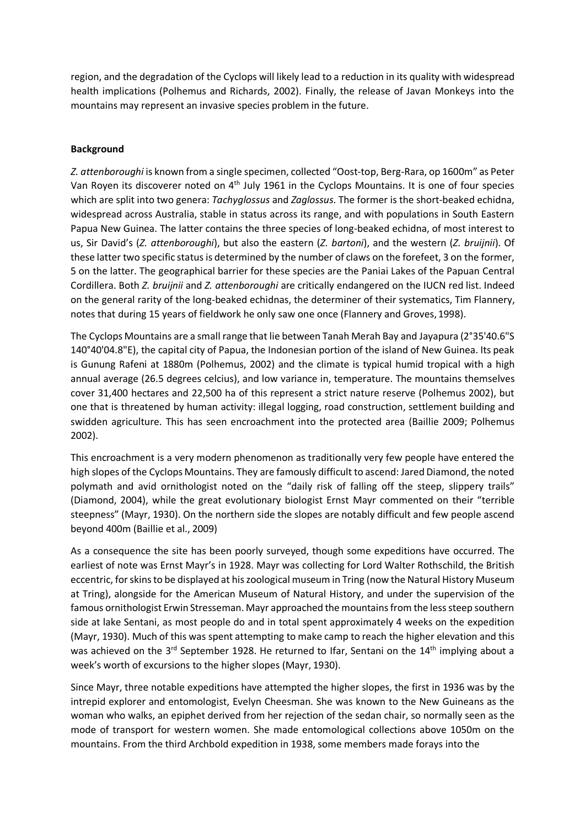region, and the degradation of the Cyclops will likely lead to a reduction in its quality with widespread health implications (Polhemus and Richards, 2002). Finally, the release of Javan Monkeys into the mountains may represent an invasive species problem in the future.

## **Background**

*Z. attenboroughi* is known from a single specimen, collected "Oost-top, Berg-Rara, op 1600m" as Peter Van Royen its discoverer noted on 4<sup>th</sup> July 1961 in the Cyclops Mountains. It is one of four species which are split into two genera: *Tachyglossus* and *Zaglossus*. The former is the short-beaked echidna, widespread across Australia, stable in status across its range, and with populations in South Eastern Papua New Guinea. The latter contains the three species of long-beaked echidna, of most interest to us, Sir David's (*Z. attenboroughi*), but also the eastern (*Z. bartoni*), and the western (*Z. bruijnii*). Of these latter two specific status is determined by the number of claws on the forefeet, 3 on the former, 5 on the latter. The geographical barrier for these species are the Paniai Lakes of the Papuan Central Cordillera. Both *Z. bruijnii* and *Z. attenboroughi* are critically endangered on the IUCN red list. Indeed on the general rarity of the long-beaked echidnas, the determiner of their systematics, Tim Flannery, notes that during 15 years of fieldwork he only saw one once (Flannery and Groves,1998).

The Cyclops Mountains are a small range that lie between Tanah Merah Bay and Jayapura (2°35'40.6"S 140°40'04.8"E), the capital city of Papua, the Indonesian portion of the island of New Guinea. Its peak is Gunung Rafeni at 1880m (Polhemus, 2002) and the climate is typical humid tropical with a high annual average (26.5 degrees celcius), and low variance in, temperature. The mountains themselves cover 31,400 hectares and 22,500 ha of this represent a strict nature reserve (Polhemus 2002), but one that is threatened by human activity: illegal logging, road construction, settlement building and swidden agriculture. This has seen encroachment into the protected area (Baillie 2009; Polhemus 2002).

This encroachment is a very modern phenomenon as traditionally very few people have entered the high slopes of the Cyclops Mountains. They are famously difficult to ascend: Jared Diamond, the noted polymath and avid ornithologist noted on the "daily risk of falling off the steep, slippery trails" (Diamond, 2004), while the great evolutionary biologist Ernst Mayr commented on their "terrible steepness" (Mayr, 1930). On the northern side the slopes are notably difficult and few people ascend beyond 400m (Baillie et al., 2009)

As a consequence the site has been poorly surveyed, though some expeditions have occurred. The earliest of note was Ernst Mayr's in 1928. Mayr was collecting for Lord Walter Rothschild, the British eccentric, forskinsto be displayed at hiszoological museum in Tring (now the Natural History Museum at Tring), alongside for the American Museum of Natural History, and under the supervision of the famous ornithologist Erwin Stresseman. Mayr approached the mountains from the less steep southern side at lake Sentani, as most people do and in total spent approximately 4 weeks on the expedition (Mayr, 1930). Much of this was spent attempting to make camp to reach the higher elevation and this was achieved on the 3<sup>rd</sup> September 1928. He returned to Ifar, Sentani on the 14<sup>th</sup> implying about a week's worth of excursions to the higher slopes (Mayr, 1930).

Since Mayr, three notable expeditions have attempted the higher slopes, the first in 1936 was by the intrepid explorer and entomologist, Evelyn Cheesman. She was known to the New Guineans as the woman who walks, an epiphet derived from her rejection of the sedan chair, so normally seen as the mode of transport for western women. She made entomological collections above 1050m on the mountains. From the third Archbold expedition in 1938, some members made forays into the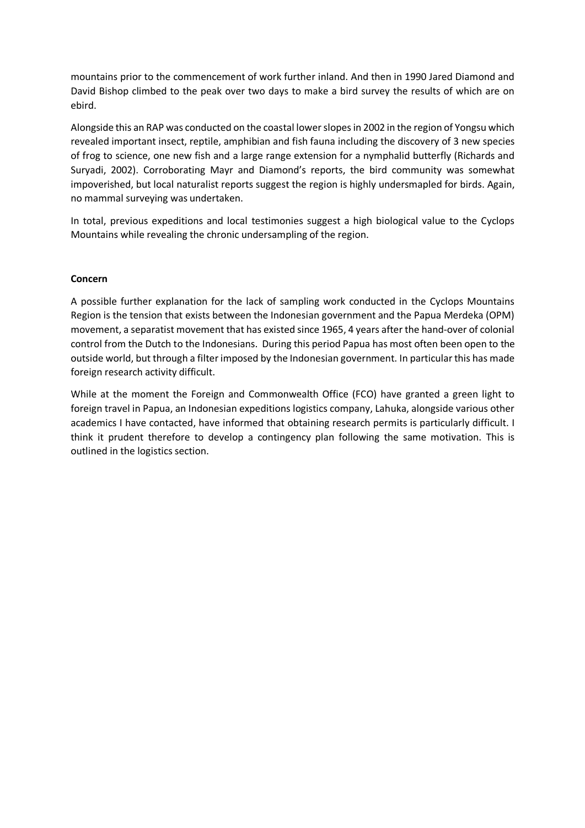mountains prior to the commencement of work further inland. And then in 1990 Jared Diamond and David Bishop climbed to the peak over two days to make a bird survey the results of which are on ebird.

Alongside this an RAP was conducted on the coastal lowerslopesin 2002 in the region of Yongsu which revealed important insect, reptile, amphibian and fish fauna including the discovery of 3 new species of frog to science, one new fish and a large range extension for a nymphalid butterfly (Richards and Suryadi, 2002). Corroborating Mayr and Diamond's reports, the bird community was somewhat impoverished, but local naturalist reports suggest the region is highly undersmapled for birds. Again, no mammal surveying was undertaken.

In total, previous expeditions and local testimonies suggest a high biological value to the Cyclops Mountains while revealing the chronic undersampling of the region.

## **Concern**

A possible further explanation for the lack of sampling work conducted in the Cyclops Mountains Region is the tension that exists between the Indonesian government and the Papua Merdeka (OPM) movement, a separatist movement that has existed since 1965, 4 years after the hand-over of colonial control from the Dutch to the Indonesians. During this period Papua has most often been open to the outside world, but through a filterimposed by the Indonesian government. In particularthis has made foreign research activity difficult.

While at the moment the Foreign and Commonwealth Office (FCO) have granted a green light to foreign travel in Papua, an Indonesian expeditions logistics company, Lahuka, alongside various other academics I have contacted, have informed that obtaining research permits is particularly difficult. I think it prudent therefore to develop a contingency plan following the same motivation. This is outlined in the logistics section.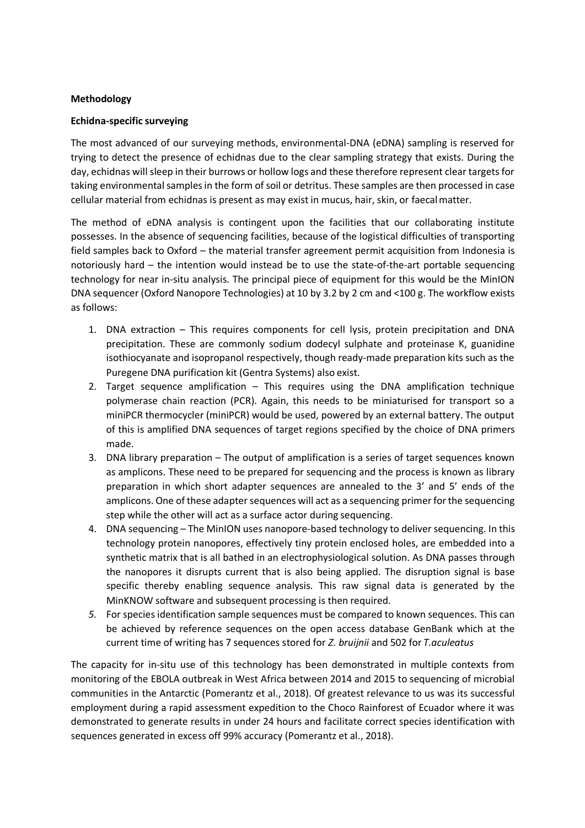#### **Methodology**

#### **Echidna-specific surveying**

The most advanced of our surveying methods, environmental-DNA (eDNA) sampling is reserved for trying to detect the presence of echidnas due to the clear sampling strategy that exists. During the day, echidnas will sleep in their burrows or hollow logs and these therefore represent clear targets for taking environmental samples in the form of soil or detritus. These samples are then processed in case cellular material from echidnas is present as may exist in mucus, hair, skin, or faecalmatter.

The method of eDNA analysis is contingent upon the facilities that our collaborating institute possesses. In the absence of sequencing facilities, because of the logistical difficulties of transporting field samples back to Oxford – the material transfer agreement permit acquisition from Indonesia is notoriously hard – the intention would instead be to use the state-of-the-art portable sequencing technology for near in-situ analysis. The principal piece of equipment for this would be the MinION DNA sequencer (Oxford Nanopore Technologies) at 10 by 3.2 by 2 cm and <100 g. The workflow exists as follows:

- 1. DNA extraction This requires components for cell lysis, protein precipitation and DNA precipitation. These are commonly sodium dodecyl sulphate and proteinase K, guanidine isothiocyanate and isopropanol respectively, though ready-made preparation kits such as the Puregene DNA purification kit (Gentra Systems) also exist.
- 2. Target sequence amplification This requires using the DNA amplification technique polymerase chain reaction (PCR). Again, this needs to be miniaturised for transport so a miniPCR thermocycler (miniPCR) would be used, powered by an external battery. The output of this is amplified DNA sequences of target regions specified by the choice of DNA primers made.
- 3. DNA library preparation The output of amplification is a series of target sequences known as amplicons. These need to be prepared for sequencing and the process is known as library preparation in which short adapter sequences are annealed to the 3' and 5' ends of the amplicons. One of these adapter sequences will act as a sequencing primer for the sequencing step while the other will act as a surface actor during sequencing.
- 4. DNA sequencing The MinION uses nanopore-based technology to deliver sequencing. In this technology protein nanopores, effectively tiny protein enclosed holes, are embedded into a synthetic matrix that is all bathed in an electrophysiological solution. As DNA passes through the nanopores it disrupts current that is also being applied. The disruption signal is base specific thereby enabling sequence analysis. This raw signal data is generated by the MinKNOW software and subsequent processing is then required.
- *5.* For species identification sample sequences must be compared to known sequences. This can be achieved by reference sequences on the open access database GenBank which at the current time of writing has 7 sequences stored for *Z. bruijnii* and 502 for *T.aculeatus*

The capacity for in-situ use of this technology has been demonstrated in multiple contexts from monitoring of the EBOLA outbreak in West Africa between 2014 and 2015 to sequencing of microbial communities in the Antarctic (Pomerantz et al., 2018). Of greatest relevance to us was its successful employment during a rapid assessment expedition to the Choco Rainforest of Ecuador where it was demonstrated to generate results in under 24 hours and facilitate correct species identification with sequences generated in excess off 99% accuracy (Pomerantz et al., 2018).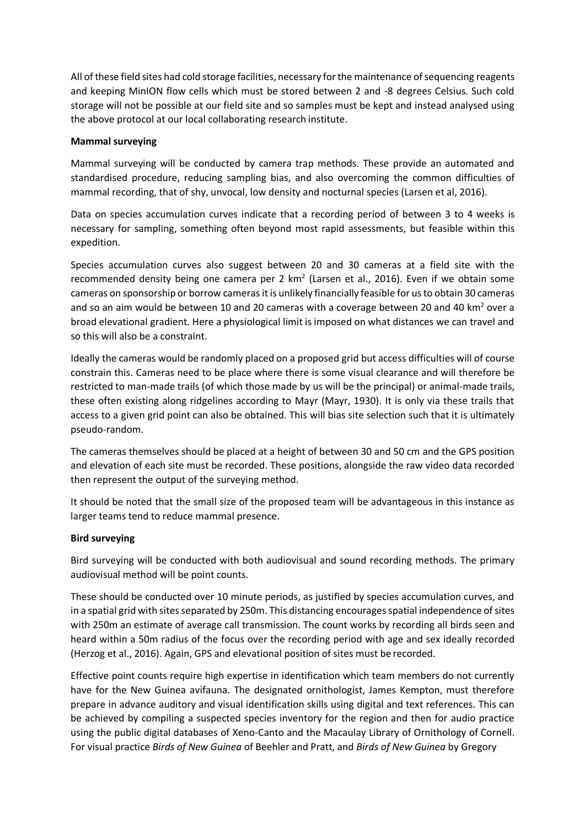All of these field sites had cold storage facilities, necessary forthe maintenance ofsequencing reagents and keeping MinION flow cells which must be stored between 2 and -8 degrees Celsius. Such cold storage will not be possible at our field site and so samples must be kept and instead analysed using the above protocol at our local collaborating research institute.

#### **Mammal surveying**

Mammal surveying will be conducted by camera trap methods. These provide an automated and standardised procedure, reducing sampling bias, and also overcoming the common difficulties of mammal recording, that of shy, unvocal, low density and nocturnal species (Larsen et al, 2016).

Data on species accumulation curves indicate that a recording period of between 3 to 4 weeks is necessary for sampling, something often beyond most rapid assessments, but feasible within this expedition.

Species accumulation curves also suggest between 20 and 30 cameras at a field site with the recommended density being one camera per 2  $km^2$  (Larsen et al., 2016). Even if we obtain some cameras on sponsorship or borrow cameras it is unlikely financially feasible for us to obtain 30 cameras and so an aim would be between 10 and 20 cameras with a coverage between 20 and 40 km<sup>2</sup> over a broad elevational gradient. Here a physiological limit is imposed on what distances we can travel and so this will also be a constraint.

Ideally the cameras would be randomly placed on a proposed grid but access difficulties will of course constrain this. Cameras need to be place where there is some visual clearance and will therefore be restricted to man-made trails (of which those made by us will be the principal) or animal-made trails, these often existing along ridgelines according to Mayr (Mayr, 1930). It is only via these trails that access to a given grid point can also be obtained. This will bias site selection such that it is ultimately pseudo-random.

The cameras themselves should be placed at a height of between 30 and 50 cm and the GPS position and elevation of each site must be recorded. These positions, alongside the raw video data recorded then represent the output of the surveying method.

It should be noted that the small size of the proposed team will be advantageous in this instance as larger teams tend to reduce mammal presence.

#### **Bird surveying**

Bird surveying will be conducted with both audiovisual and sound recording methods. The primary audiovisual method will be point counts.

These should be conducted over 10 minute periods, as justified by species accumulation curves, and in a spatial grid with sites separated by 250m. This distancing encourages spatial independence of sites with 250m an estimate of average call transmission. The count works by recording all birds seen and heard within a 50m radius of the focus over the recording period with age and sex ideally recorded (Herzog et al., 2016). Again, GPS and elevational position of sites must be recorded.

Effective point counts require high expertise in identification which team members do not currently have for the New Guinea avifauna. The designated ornithologist, James Kempton, must therefore prepare in advance auditory and visual identification skills using digital and text references. This can be achieved by compiling a suspected species inventory for the region and then for audio practice using the public digital databases of Xeno-Canto and the Macaulay Library of Ornithology of Cornell. For visual practice *Birds of New Guinea* of Beehler and Pratt, and *Birds of New Guinea* by Gregory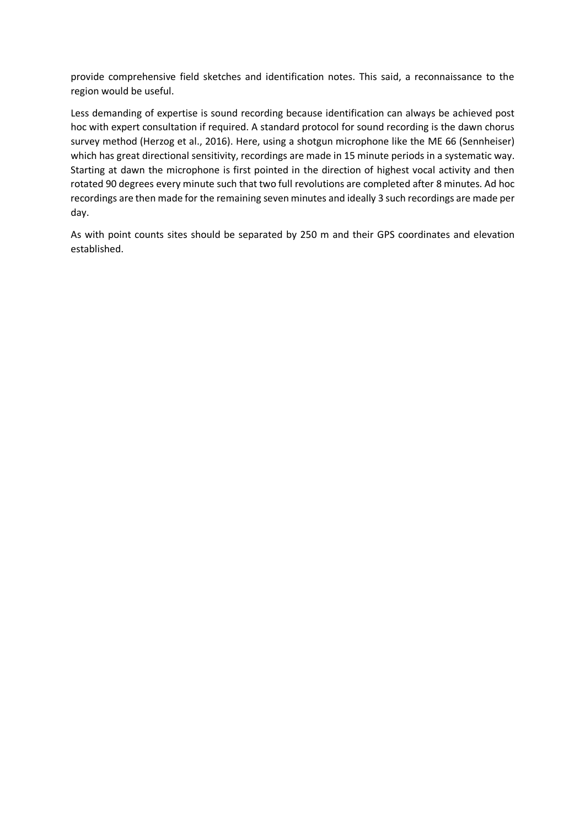provide comprehensive field sketches and identification notes. This said, a reconnaissance to the region would be useful.

Less demanding of expertise is sound recording because identification can always be achieved post hoc with expert consultation if required. A standard protocol for sound recording is the dawn chorus survey method (Herzog et al., 2016). Here, using a shotgun microphone like the ME 66 (Sennheiser) which has great directional sensitivity, recordings are made in 15 minute periods in a systematic way. Starting at dawn the microphone is first pointed in the direction of highest vocal activity and then rotated 90 degrees every minute such that two full revolutions are completed after 8 minutes. Ad hoc recordings are then made for the remaining seven minutes and ideally 3 such recordings are made per day.

As with point counts sites should be separated by 250 m and their GPS coordinates and elevation established.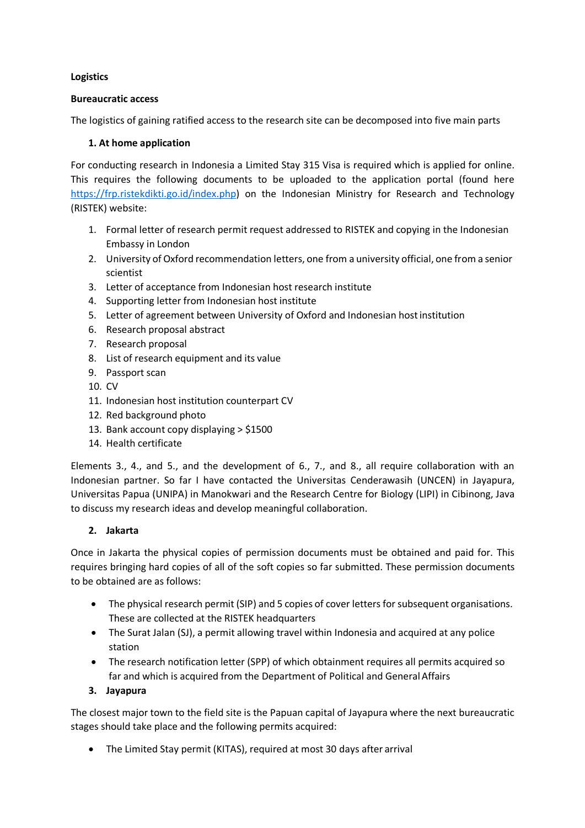## **Logistics**

## **Bureaucratic access**

The logistics of gaining ratified access to the research site can be decomposed into five main parts

## **1. At home application**

For conducting research in Indonesia a Limited Stay 315 Visa is required which is applied for online. This requires the following documents to be uploaded to the application portal (found here [https://frp.ristekdikti.go.id/index.php\)](https://frp.ristekdikti.go.id/index.php) on the Indonesian Ministry for Research and Technology (RISTEK) website:

- 1. Formal letter of research permit request addressed to RISTEK and copying in the Indonesian Embassy in London
- 2. University of Oxford recommendation letters, one from a university official, one from a senior scientist
- 3. Letter of acceptance from Indonesian host research institute
- 4. Supporting letter from Indonesian host institute
- 5. Letter of agreement between University of Oxford and Indonesian hostinstitution
- 6. Research proposal abstract
- 7. Research proposal
- 8. List of research equipment and its value
- 9. Passport scan
- 10. CV
- 11. Indonesian host institution counterpart CV
- 12. Red background photo
- 13. Bank account copy displaying > \$1500
- 14. Health certificate

Elements 3., 4., and 5., and the development of 6., 7., and 8., all require collaboration with an Indonesian partner. So far I have contacted the Universitas Cenderawasih (UNCEN) in Jayapura, Universitas Papua (UNIPA) in Manokwari and the Research Centre for Biology (LIPI) in Cibinong, Java to discuss my research ideas and develop meaningful collaboration.

## **2. Jakarta**

Once in Jakarta the physical copies of permission documents must be obtained and paid for. This requires bringing hard copies of all of the soft copies so far submitted. These permission documents to be obtained are as follows:

- The physical research permit (SIP) and 5 copies of cover letters for subsequent organisations. These are collected at the RISTEK headquarters
- The Surat Jalan (SJ), a permit allowing travel within Indonesia and acquired at any police station
- The research notification letter (SPP) of which obtainment requires all permits acquired so far and which is acquired from the Department of Political and General Affairs
- **3. Jayapura**

The closest major town to the field site is the Papuan capital of Jayapura where the next bureaucratic stages should take place and the following permits acquired:

• The Limited Stay permit (KITAS), required at most 30 days after arrival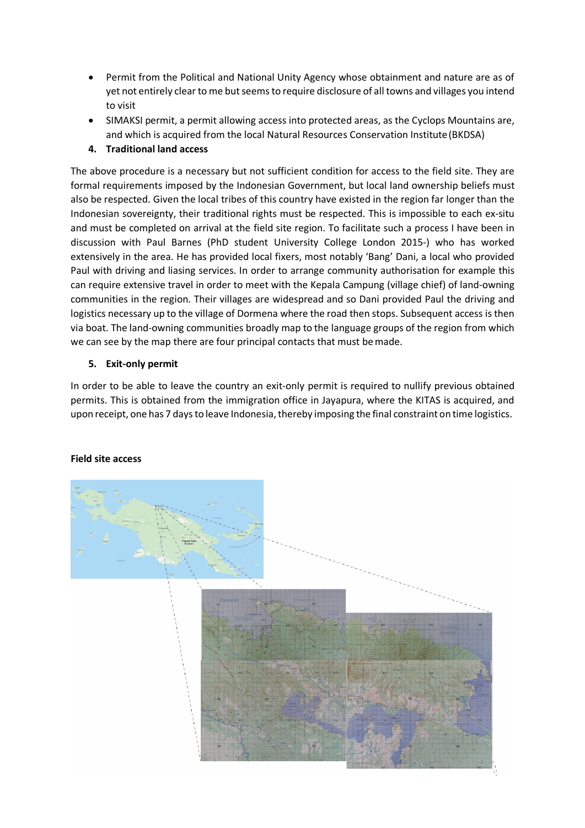- Permit from the Political and National Unity Agency whose obtainment and nature are as of yet not entirely clear to me but seems to require disclosure of all towns and villages you intend to visit
- SIMAKSI permit, a permit allowing access into protected areas, as the Cyclops Mountains are, and which is acquired from the local Natural Resources Conservation Institute(BKDSA)

## **4. Traditional land access**

The above procedure is a necessary but not sufficient condition for access to the field site. They are formal requirements imposed by the Indonesian Government, but local land ownership beliefs must also be respected. Given the local tribes of this country have existed in the region far longer than the Indonesian sovereignty, their traditional rights must be respected. This is impossible to each ex-situ and must be completed on arrival at the field site region. To facilitate such a process I have been in discussion with Paul Barnes (PhD student University College London 2015-) who has worked extensively in the area. He has provided local fixers, most notably 'Bang' Dani, a local who provided Paul with driving and liasing services. In order to arrange community authorisation for example this can require extensive travel in order to meet with the Kepala Campung (village chief) of land-owning communities in the region. Their villages are widespread and so Dani provided Paul the driving and logistics necessary up to the village of Dormena where the road then stops. Subsequent access is then via boat. The land-owning communities broadly map to the language groups of the region from which we can see by the map there are four principal contacts that must bemade.

## **5. Exit-only permit**

In order to be able to leave the country an exit-only permit is required to nullify previous obtained permits. This is obtained from the immigration office in Jayapura, where the KITAS is acquired, and upon receipt, one has 7 days to leave Indonesia, thereby imposing the final constraint on time logistics.



## **Field site access**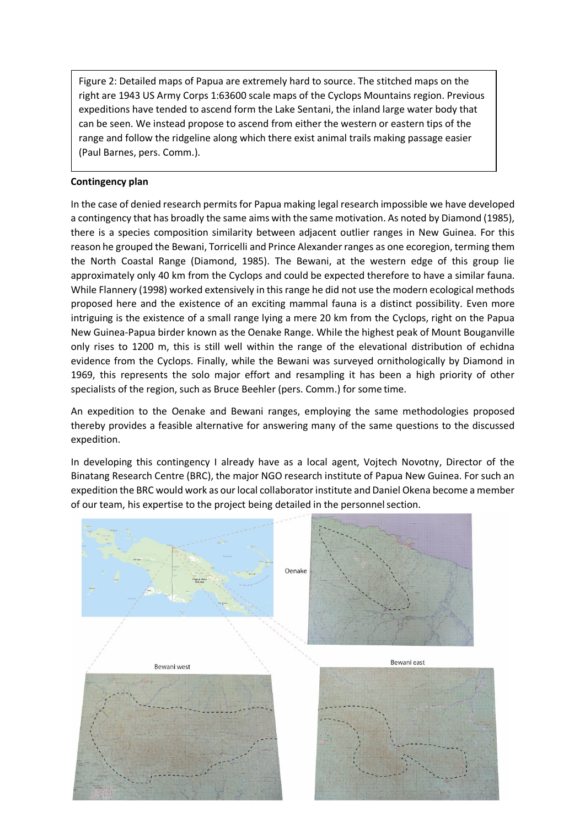Figure 2: Detailed maps of Papua are extremely hard to source. The stitched maps on the right are 1943 US Army Corps 1:63600 scale maps of the Cyclops Mountains region. Previous expeditions have tended to ascend form the Lake Sentani, the inland large water body that can be seen. We instead propose to ascend from either the western or eastern tips of the range and follow the ridgeline along which there exist animal trails making passage easier (Paul Barnes, pers. Comm.).

## **Contingency plan**

In the case of denied research permits for Papua making legal research impossible we have developed a contingency that has broadly the same aims with the same motivation. As noted by Diamond (1985), there is a species composition similarity between adjacent outlier ranges in New Guinea. For this reason he grouped the Bewani, Torricelli and Prince Alexanderranges as one ecoregion, terming them the North Coastal Range (Diamond, 1985). The Bewani, at the western edge of this group lie approximately only 40 km from the Cyclops and could be expected therefore to have a similar fauna. While Flannery (1998) worked extensively in this range he did not use the modern ecological methods proposed here and the existence of an exciting mammal fauna is a distinct possibility. Even more intriguing is the existence of a small range lying a mere 20 km from the Cyclops, right on the Papua New Guinea-Papua birder known as the Oenake Range. While the highest peak of Mount Bouganville only rises to 1200 m, this is still well within the range of the elevational distribution of echidna evidence from the Cyclops. Finally, while the Bewani was surveyed ornithologically by Diamond in 1969, this represents the solo major effort and resampling it has been a high priority of other specialists of the region, such as Bruce Beehler (pers. Comm.) for some time.

An expedition to the Oenake and Bewani ranges, employing the same methodologies proposed thereby provides a feasible alternative for answering many of the same questions to the discussed expedition.

In developing this contingency I already have as a local agent, Vojtech Novotny, Director of the Binatang Research Centre (BRC), the major NGO research institute of Papua New Guinea. For such an expedition the BRC would work as our local collaborator institute and Daniel Okena become a member of our team, his expertise to the project being detailed in the personnelsection.

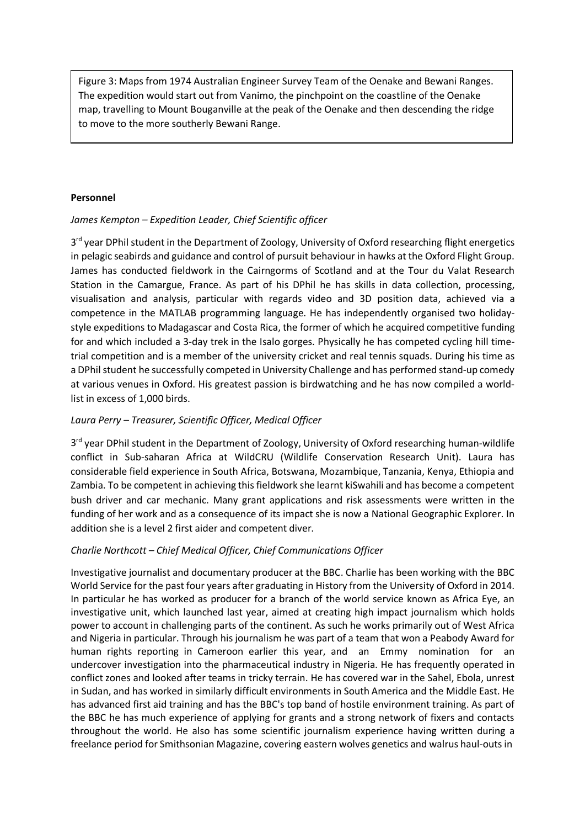Figure 3: Maps from 1974 Australian Engineer Survey Team of the Oenake and Bewani Ranges. The expedition would start out from Vanimo, the pinchpoint on the coastline of the Oenake map, travelling to Mount Bouganville at the peak of the Oenake and then descending the ridge to move to the more southerly Bewani Range.

## **Personnel**

## *James Kempton – Expedition Leader, Chief Scientific officer*

3<sup>rd</sup> year DPhil student in the Department of Zoology, University of Oxford researching flight energetics in pelagic seabirds and guidance and control of pursuit behaviour in hawks at the Oxford Flight Group. James has conducted fieldwork in the Cairngorms of Scotland and at the Tour du Valat Research Station in the Camargue, France. As part of his DPhil he has skills in data collection, processing, visualisation and analysis, particular with regards video and 3D position data, achieved via a competence in the MATLAB programming language. He has independently organised two holidaystyle expeditions to Madagascar and Costa Rica, the former of which he acquired competitive funding for and which included a 3-day trek in the Isalo gorges. Physically he has competed cycling hill timetrial competition and is a member of the university cricket and real tennis squads. During his time as a DPhil student he successfully competed in University Challenge and has performed stand-up comedy at various venues in Oxford. His greatest passion is birdwatching and he has now compiled a worldlist in excess of 1,000 birds.

## *Laura Perry – Treasurer, Scientific Officer, Medical Officer*

3<sup>rd</sup> year DPhil student in the Department of Zoology, University of Oxford researching human-wildlife conflict in Sub-saharan Africa at WildCRU (Wildlife Conservation Research Unit). Laura has considerable field experience in South Africa, Botswana, Mozambique, Tanzania, Kenya, Ethiopia and Zambia. To be competent in achieving this fieldwork she learnt kiSwahili and has become a competent bush driver and car mechanic. Many grant applications and risk assessments were written in the funding of her work and as a consequence of its impact she is now a National Geographic Explorer. In addition she is a level 2 first aider and competent diver.

## *Charlie Northcott – Chief Medical Officer, Chief Communications Officer*

Investigative journalist and documentary producer at the BBC. Charlie has been working with the BBC World Service for the past four years after graduating in History from the University of Oxford in 2014. In particular he has worked as producer for a branch of the world service known as Africa Eye, an investigative unit, which launched last year, aimed at creating high impact journalism which holds power to account in challenging parts of the continent. As such he works primarily out of West Africa and Nigeria in particular. Through his journalism he was part of a team that won a Peabody Award for human rights reporting in Cameroon earlier this year, and an Emmy nomination for an undercover investigation into the pharmaceutical industry in Nigeria. He has frequently operated in conflict zones and looked after teams in tricky terrain. He has covered war in the Sahel, Ebola, unrest in Sudan, and has worked in similarly difficult environments in South America and the Middle East. He has advanced first aid training and has the BBC's top band of hostile environment training. As part of the BBC he has much experience of applying for grants and a strong network of fixers and contacts throughout the world. He also has some scientific journalism experience having written during a freelance period for Smithsonian Magazine, covering eastern wolves genetics and walrus haul-outs in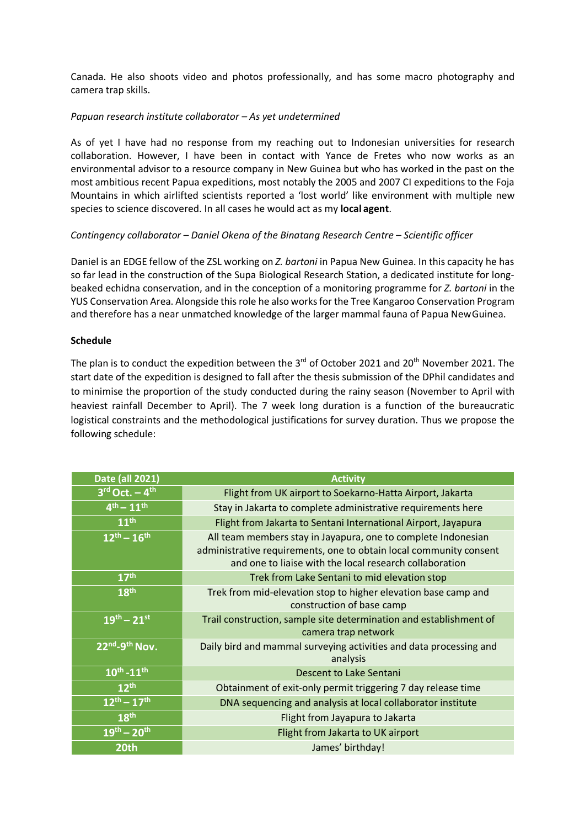Canada. He also shoots video and photos professionally, and has some macro photography and camera trap skills.

#### *Papuan research institute collaborator – As yet undetermined*

As of yet I have had no response from my reaching out to Indonesian universities for research collaboration. However, I have been in contact with Yance de Fretes who now works as an environmental advisor to a resource company in New Guinea but who has worked in the past on the most ambitious recent Papua expeditions, most notably the 2005 and 2007 CI expeditions to the Foja Mountains in which airlifted scientists reported a 'lost world' like environment with multiple new species to science discovered. In all cases he would act as my **local agent**.

## *Contingency collaborator – Daniel Okena of the Binatang Research Centre – Scientific officer*

Daniel is an EDGE fellow of the ZSL working on *Z. bartoni* in Papua New Guinea. In this capacity he has so far lead in the construction of the Supa Biological Research Station, a dedicated institute for longbeaked echidna conservation, and in the conception of a monitoring programme for *Z. bartoni* in the YUS Conservation Area. Alongside this role he also worksfor the Tree Kangaroo Conservation Program and therefore has a near unmatched knowledge of the larger mammal fauna of Papua NewGuinea.

#### **Schedule**

The plan is to conduct the expedition between the 3 $^{rd}$  of October 2021 and 20<sup>th</sup> November 2021. The start date of the expedition is designed to fall after the thesis submission of the DPhil candidates and to minimise the proportion of the study conducted during the rainy season (November to April with heaviest rainfall December to April). The 7 week long duration is a function of the bureaucratic logistical constraints and the methodological justifications for survey duration. Thus we propose the following schedule:

| Date (all 2021)           | <b>Activity</b>                                                                                                                                                                                |
|---------------------------|------------------------------------------------------------------------------------------------------------------------------------------------------------------------------------------------|
| $3rd$ Oct. $-4th$         | Flight from UK airport to Soekarno-Hatta Airport, Jakarta                                                                                                                                      |
| $4^{th} - 11^{th}$        | Stay in Jakarta to complete administrative requirements here                                                                                                                                   |
| 11 <sup>th</sup>          | Flight from Jakarta to Sentani International Airport, Jayapura                                                                                                                                 |
| $12^{th} - 16^{th}$       | All team members stay in Jayapura, one to complete Indonesian<br>administrative requirements, one to obtain local community consent<br>and one to liaise with the local research collaboration |
| 17 <sup>th</sup>          | Trek from Lake Sentani to mid elevation stop                                                                                                                                                   |
| 18 <sup>th</sup>          | Trek from mid-elevation stop to higher elevation base camp and<br>construction of base camp                                                                                                    |
| $19^{th} - 21^{st}$       | Trail construction, sample site determination and establishment of<br>camera trap network                                                                                                      |
| 22nd <sub>-9th</sub> Nov. | Daily bird and mammal surveying activities and data processing and<br>analysis                                                                                                                 |
| $10^{th} - 11^{th}$       | Descent to Lake Sentani                                                                                                                                                                        |
| 12 <sup>th</sup>          | Obtainment of exit-only permit triggering 7 day release time                                                                                                                                   |
| $12^{th} - 17^{th}$       | DNA sequencing and analysis at local collaborator institute                                                                                                                                    |
| 18th                      | Flight from Jayapura to Jakarta                                                                                                                                                                |
| $19^{th} - 20^{th}$       | Flight from Jakarta to UK airport                                                                                                                                                              |
| 20th                      | James' birthday!                                                                                                                                                                               |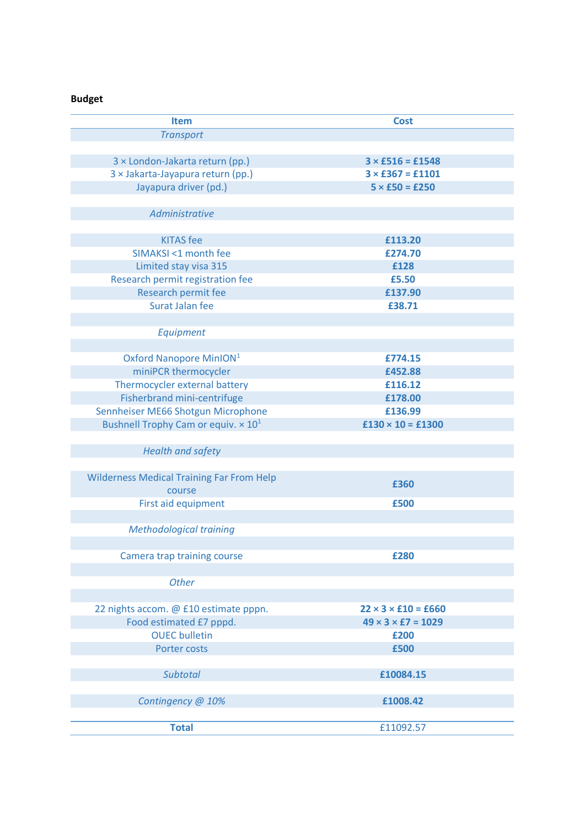# **Budget**

| <b>Item</b>                                      | <b>Cost</b>                    |
|--------------------------------------------------|--------------------------------|
| <b>Transport</b>                                 |                                |
|                                                  |                                |
| 3 × London-Jakarta return (pp.)                  | $3 \times £516 = £1548$        |
| 3 × Jakarta-Jayapura return (pp.)                | $3 \times £367 = £1101$        |
| Jayapura driver (pd.)                            | $5 \times £50 = £250$          |
|                                                  |                                |
| Administrative                                   |                                |
|                                                  |                                |
| <b>KITAS</b> fee                                 | £113.20                        |
| SIMAKSI <1 month fee                             | £274.70                        |
| Limited stay visa 315                            | £128                           |
| Research permit registration fee                 | £5.50                          |
| Research permit fee                              | £137.90                        |
| <b>Surat Jalan fee</b>                           | £38.71                         |
|                                                  |                                |
| Equipment                                        |                                |
|                                                  |                                |
| Oxford Nanopore MinION <sup>1</sup>              | £774.15                        |
| miniPCR thermocycler                             | £452.88                        |
| Thermocycler external battery                    | £116.12                        |
| Fisherbrand mini-centrifuge                      | £178.00                        |
| Sennheiser ME66 Shotgun Microphone               | £136.99                        |
| Bushnell Trophy Cam or equiv. $\times 10^1$      | $£130 \times 10 = £1300$       |
|                                                  |                                |
| <b>Health and safety</b>                         |                                |
|                                                  |                                |
| <b>Wilderness Medical Training Far From Help</b> | £360                           |
| course                                           |                                |
| First aid equipment                              | £500                           |
|                                                  |                                |
| <b>Methodological training</b>                   |                                |
|                                                  |                                |
| Camera trap training course                      | £280                           |
|                                                  |                                |
| <b>Other</b>                                     |                                |
|                                                  |                                |
| 22 nights accom. @ £10 estimate pppn.            | $22 \times 3 \times 10 = 660$  |
| Food estimated £7 pppd.                          | $49 \times 3 \times 57 = 1029$ |
| <b>OUEC</b> bulletin                             | £200                           |
| Porter costs                                     | £500                           |
|                                                  |                                |
| Subtotal                                         | £10084.15                      |
|                                                  |                                |
| Contingency @ 10%                                | £1008.42                       |
|                                                  |                                |
| <b>Total</b>                                     | £11092.57                      |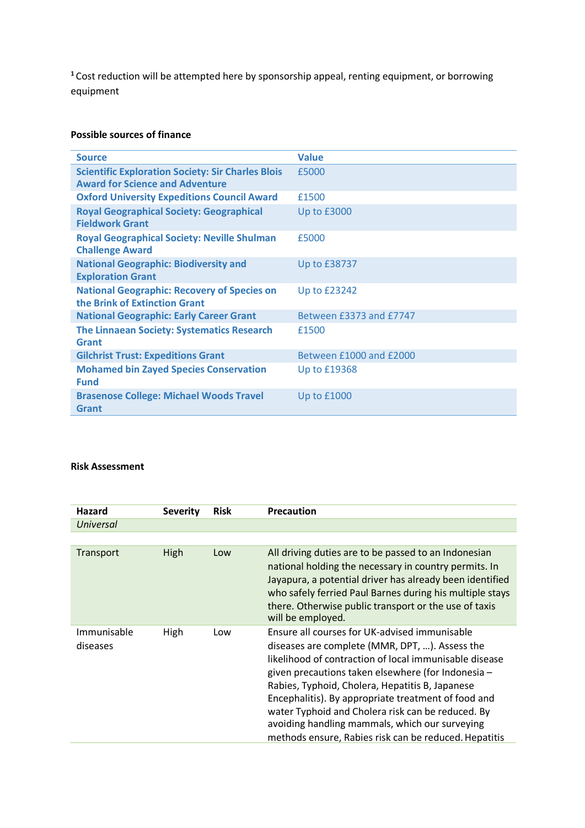**<sup>1</sup>**Cost reduction will be attempted here by sponsorship appeal, renting equipment, or borrowing equipment

## **Possible sources of finance**

| <b>Source</b>                                                                                      | <b>Value</b>            |
|----------------------------------------------------------------------------------------------------|-------------------------|
| <b>Scientific Exploration Society: Sir Charles Blois</b><br><b>Award for Science and Adventure</b> | £5000                   |
| <b>Oxford University Expeditions Council Award</b>                                                 | £1500                   |
| <b>Royal Geographical Society: Geographical</b><br><b>Fieldwork Grant</b>                          | Up to $£3000$           |
| <b>Royal Geographical Society: Neville Shulman</b><br><b>Challenge Award</b>                       | £5000                   |
| <b>National Geographic: Biodiversity and</b><br><b>Exploration Grant</b>                           | Up to £38737            |
| <b>National Geographic: Recovery of Species on</b><br>the Brink of Extinction Grant                | <b>Up to £23242</b>     |
| <b>National Geographic: Early Career Grant</b>                                                     | Between £3373 and £7747 |
| <b>The Linnaean Society: Systematics Research</b><br>Grant                                         | £1500                   |
| <b>Gilchrist Trust: Expeditions Grant</b>                                                          | Between £1000 and £2000 |
| <b>Mohamed bin Zayed Species Conservation</b><br><b>Fund</b>                                       | Up to £19368            |
| <b>Brasenose College: Michael Woods Travel</b><br>Grant                                            | Up to £1000             |

## **Risk Assessment**

| Hazard                  | <b>Severity</b> | <b>Risk</b> | <b>Precaution</b>                                                                                                                                                                                                                                                                                                                                                                                                                                                                         |
|-------------------------|-----------------|-------------|-------------------------------------------------------------------------------------------------------------------------------------------------------------------------------------------------------------------------------------------------------------------------------------------------------------------------------------------------------------------------------------------------------------------------------------------------------------------------------------------|
| <b>Universal</b>        |                 |             |                                                                                                                                                                                                                                                                                                                                                                                                                                                                                           |
|                         |                 |             |                                                                                                                                                                                                                                                                                                                                                                                                                                                                                           |
| Transport               | High            | Low         | All driving duties are to be passed to an Indonesian<br>national holding the necessary in country permits. In<br>Jayapura, a potential driver has already been identified<br>who safely ferried Paul Barnes during his multiple stays<br>there. Otherwise public transport or the use of taxis<br>will be employed.                                                                                                                                                                       |
| Immunisable<br>diseases | High            | Low         | Ensure all courses for UK-advised immunisable<br>diseases are complete (MMR, DPT, ). Assess the<br>likelihood of contraction of local immunisable disease<br>given precautions taken elsewhere (for Indonesia -<br>Rabies, Typhoid, Cholera, Hepatitis B, Japanese<br>Encephalitis). By appropriate treatment of food and<br>water Typhoid and Cholera risk can be reduced. By<br>avoiding handling mammals, which our surveying<br>methods ensure, Rabies risk can be reduced. Hepatitis |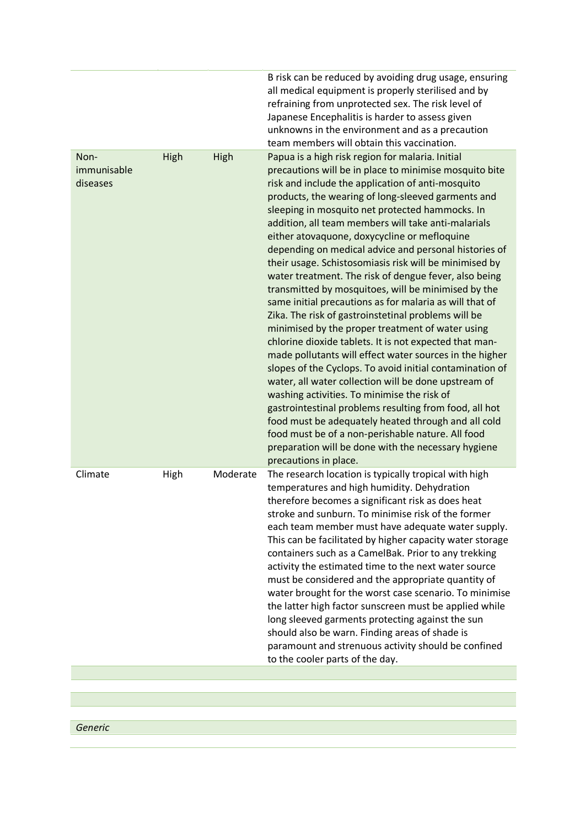|                                 |             |          | B risk can be reduced by avoiding drug usage, ensuring<br>all medical equipment is properly sterilised and by<br>refraining from unprotected sex. The risk level of<br>Japanese Encephalitis is harder to assess given<br>unknowns in the environment and as a precaution<br>team members will obtain this vaccination.                                                                                                                                                                                                                                                                                                                                                                                                                                                                                                                                                                                                                                                                                                                                                                                                                                                                                                                                                                                                                |
|---------------------------------|-------------|----------|----------------------------------------------------------------------------------------------------------------------------------------------------------------------------------------------------------------------------------------------------------------------------------------------------------------------------------------------------------------------------------------------------------------------------------------------------------------------------------------------------------------------------------------------------------------------------------------------------------------------------------------------------------------------------------------------------------------------------------------------------------------------------------------------------------------------------------------------------------------------------------------------------------------------------------------------------------------------------------------------------------------------------------------------------------------------------------------------------------------------------------------------------------------------------------------------------------------------------------------------------------------------------------------------------------------------------------------|
| Non-<br>immunisable<br>diseases | <b>High</b> | High     | Papua is a high risk region for malaria. Initial<br>precautions will be in place to minimise mosquito bite<br>risk and include the application of anti-mosquito<br>products, the wearing of long-sleeved garments and<br>sleeping in mosquito net protected hammocks. In<br>addition, all team members will take anti-malarials<br>either atovaquone, doxycycline or mefloquine<br>depending on medical advice and personal histories of<br>their usage. Schistosomiasis risk will be minimised by<br>water treatment. The risk of dengue fever, also being<br>transmitted by mosquitoes, will be minimised by the<br>same initial precautions as for malaria as will that of<br>Zika. The risk of gastroinstetinal problems will be<br>minimised by the proper treatment of water using<br>chlorine dioxide tablets. It is not expected that man-<br>made pollutants will effect water sources in the higher<br>slopes of the Cyclops. To avoid initial contamination of<br>water, all water collection will be done upstream of<br>washing activities. To minimise the risk of<br>gastrointestinal problems resulting from food, all hot<br>food must be adequately heated through and all cold<br>food must be of a non-perishable nature. All food<br>preparation will be done with the necessary hygiene<br>precautions in place. |
| Climate                         | High        | Moderate | The research location is typically tropical with high<br>temperatures and high humidity. Dehydration<br>therefore becomes a significant risk as does heat<br>stroke and sunburn. To minimise risk of the former<br>each team member must have adequate water supply.<br>This can be facilitated by higher capacity water storage<br>containers such as a CamelBak. Prior to any trekking<br>activity the estimated time to the next water source<br>must be considered and the appropriate quantity of<br>water brought for the worst case scenario. To minimise<br>the latter high factor sunscreen must be applied while<br>long sleeved garments protecting against the sun<br>should also be warn. Finding areas of shade is<br>paramount and strenuous activity should be confined<br>to the cooler parts of the day.                                                                                                                                                                                                                                                                                                                                                                                                                                                                                                             |
|                                 |             |          |                                                                                                                                                                                                                                                                                                                                                                                                                                                                                                                                                                                                                                                                                                                                                                                                                                                                                                                                                                                                                                                                                                                                                                                                                                                                                                                                        |
|                                 |             |          |                                                                                                                                                                                                                                                                                                                                                                                                                                                                                                                                                                                                                                                                                                                                                                                                                                                                                                                                                                                                                                                                                                                                                                                                                                                                                                                                        |

*Generic*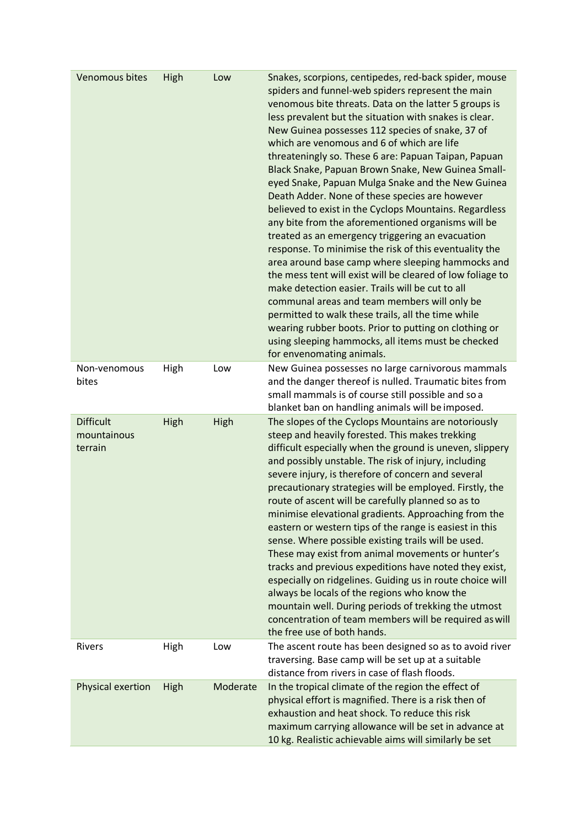| Venomous bites                             | High | Low      | Snakes, scorpions, centipedes, red-back spider, mouse<br>spiders and funnel-web spiders represent the main<br>venomous bite threats. Data on the latter 5 groups is<br>less prevalent but the situation with snakes is clear.<br>New Guinea possesses 112 species of snake, 37 of<br>which are venomous and 6 of which are life<br>threateningly so. These 6 are: Papuan Taipan, Papuan<br>Black Snake, Papuan Brown Snake, New Guinea Small-<br>eyed Snake, Papuan Mulga Snake and the New Guinea<br>Death Adder. None of these species are however<br>believed to exist in the Cyclops Mountains. Regardless<br>any bite from the aforementioned organisms will be<br>treated as an emergency triggering an evacuation<br>response. To minimise the risk of this eventuality the<br>area around base camp where sleeping hammocks and<br>the mess tent will exist will be cleared of low foliage to<br>make detection easier. Trails will be cut to all<br>communal areas and team members will only be<br>permitted to walk these trails, all the time while<br>wearing rubber boots. Prior to putting on clothing or<br>using sleeping hammocks, all items must be checked<br>for envenomating animals. |
|--------------------------------------------|------|----------|-------------------------------------------------------------------------------------------------------------------------------------------------------------------------------------------------------------------------------------------------------------------------------------------------------------------------------------------------------------------------------------------------------------------------------------------------------------------------------------------------------------------------------------------------------------------------------------------------------------------------------------------------------------------------------------------------------------------------------------------------------------------------------------------------------------------------------------------------------------------------------------------------------------------------------------------------------------------------------------------------------------------------------------------------------------------------------------------------------------------------------------------------------------------------------------------------------------|
| Non-venomous<br>bites                      | High | Low      | New Guinea possesses no large carnivorous mammals<br>and the danger thereof is nulled. Traumatic bites from<br>small mammals is of course still possible and so a<br>blanket ban on handling animals will be imposed.                                                                                                                                                                                                                                                                                                                                                                                                                                                                                                                                                                                                                                                                                                                                                                                                                                                                                                                                                                                       |
| <b>Difficult</b><br>mountainous<br>terrain | High | High     | The slopes of the Cyclops Mountains are notoriously<br>steep and heavily forested. This makes trekking<br>difficult especially when the ground is uneven, slippery<br>and possibly unstable. The risk of injury, including<br>severe injury, is therefore of concern and several<br>precautionary strategies will be employed. Firstly, the<br>route of ascent will be carefully planned so as to<br>minimise elevational gradients. Approaching from the<br>eastern or western tips of the range is easiest in this<br>sense. Where possible existing trails will be used.<br>These may exist from animal movements or hunter's<br>tracks and previous expeditions have noted they exist,<br>especially on ridgelines. Guiding us in route choice will<br>always be locals of the regions who know the<br>mountain well. During periods of trekking the utmost<br>concentration of team members will be required as will<br>the free use of both hands.                                                                                                                                                                                                                                                    |
| <b>Rivers</b>                              | High | Low      | The ascent route has been designed so as to avoid river<br>traversing. Base camp will be set up at a suitable<br>distance from rivers in case of flash floods.                                                                                                                                                                                                                                                                                                                                                                                                                                                                                                                                                                                                                                                                                                                                                                                                                                                                                                                                                                                                                                              |
| Physical exertion                          | High | Moderate | In the tropical climate of the region the effect of<br>physical effort is magnified. There is a risk then of<br>exhaustion and heat shock. To reduce this risk<br>maximum carrying allowance will be set in advance at<br>10 kg. Realistic achievable aims will similarly be set                                                                                                                                                                                                                                                                                                                                                                                                                                                                                                                                                                                                                                                                                                                                                                                                                                                                                                                            |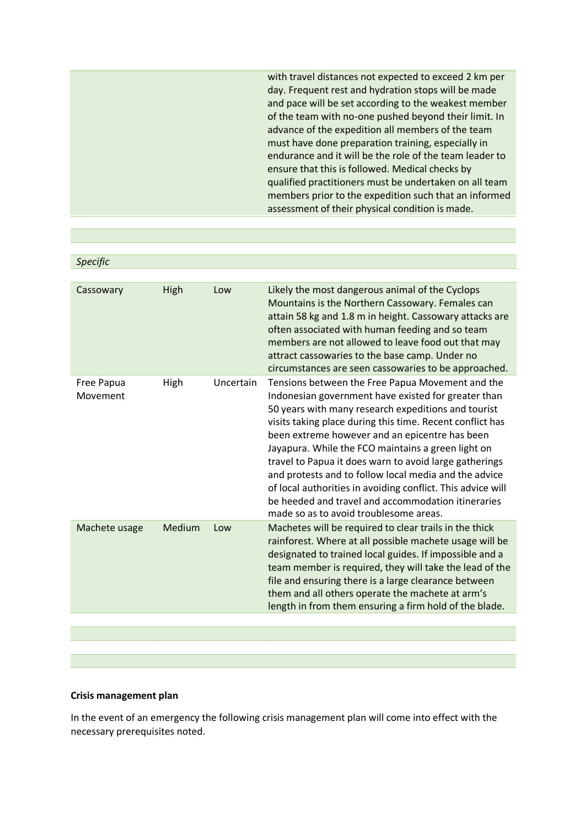with travel distances not expected to exceed 2 km per day. Frequent rest and hydration stops will be made and pace will be set according to the weakest member of the team with no-one pushed beyond their limit. In advance of the expedition all members of the team must have done preparation training, especially in endurance and it will be the role of the team leader to ensure that this is followed. Medical checks by qualified practitioners must be undertaken on all team members prior to the expedition such that an informed assessment of their physical condition is made.

| Specific               |        |           |                                                                                                                                                                                                                                                                                                                                                                                                                                                                                                                                                                                                                       |
|------------------------|--------|-----------|-----------------------------------------------------------------------------------------------------------------------------------------------------------------------------------------------------------------------------------------------------------------------------------------------------------------------------------------------------------------------------------------------------------------------------------------------------------------------------------------------------------------------------------------------------------------------------------------------------------------------|
|                        |        |           |                                                                                                                                                                                                                                                                                                                                                                                                                                                                                                                                                                                                                       |
| Cassowary              | High   | Low       | Likely the most dangerous animal of the Cyclops<br>Mountains is the Northern Cassowary. Females can<br>attain 58 kg and 1.8 m in height. Cassowary attacks are<br>often associated with human feeding and so team<br>members are not allowed to leave food out that may<br>attract cassowaries to the base camp. Under no<br>circumstances are seen cassowaries to be approached.                                                                                                                                                                                                                                     |
| Free Papua<br>Movement | High   | Uncertain | Tensions between the Free Papua Movement and the<br>Indonesian government have existed for greater than<br>50 years with many research expeditions and tourist<br>visits taking place during this time. Recent conflict has<br>been extreme however and an epicentre has been<br>Jayapura. While the FCO maintains a green light on<br>travel to Papua it does warn to avoid large gatherings<br>and protests and to follow local media and the advice<br>of local authorities in avoiding conflict. This advice will<br>be heeded and travel and accommodation itineraries<br>made so as to avoid troublesome areas. |
| Machete usage          | Medium | Low       | Machetes will be required to clear trails in the thick<br>rainforest. Where at all possible machete usage will be<br>designated to trained local guides. If impossible and a<br>team member is required, they will take the lead of the<br>file and ensuring there is a large clearance between<br>them and all others operate the machete at arm's<br>length in from them ensuring a firm hold of the blade.                                                                                                                                                                                                         |
|                        |        |           |                                                                                                                                                                                                                                                                                                                                                                                                                                                                                                                                                                                                                       |
|                        |        |           |                                                                                                                                                                                                                                                                                                                                                                                                                                                                                                                                                                                                                       |

#### **Crisis management plan**

In the event of an emergency the following crisis management plan will come into effect with the necessary prerequisites noted.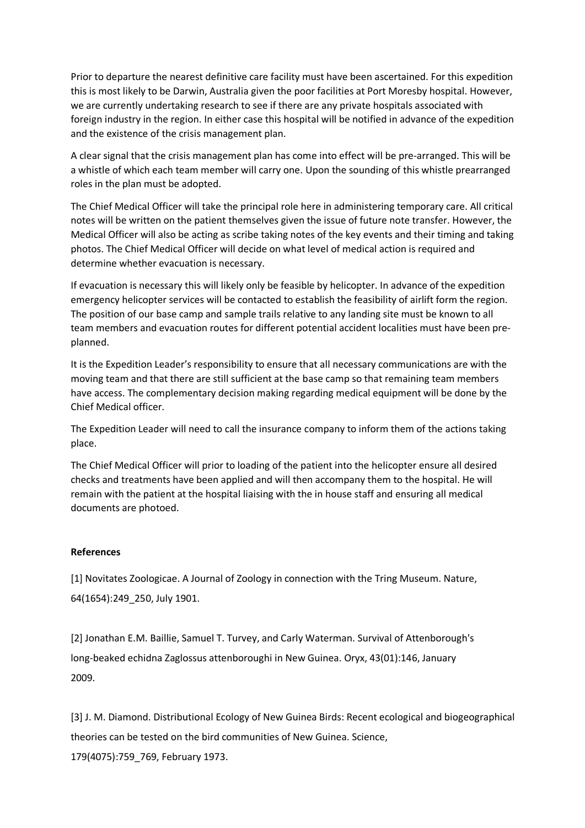Prior to departure the nearest definitive care facility must have been ascertained. For this expedition this is most likely to be Darwin, Australia given the poor facilities at Port Moresby hospital. However, we are currently undertaking research to see if there are any private hospitals associated with foreign industry in the region. In either case this hospital will be notified in advance of the expedition and the existence of the crisis management plan.

A clear signal that the crisis management plan has come into effect will be pre-arranged. This will be a whistle of which each team member will carry one. Upon the sounding of this whistle prearranged roles in the plan must be adopted.

The Chief Medical Officer will take the principal role here in administering temporary care. All critical notes will be written on the patient themselves given the issue of future note transfer. However, the Medical Officer will also be acting as scribe taking notes of the key events and their timing and taking photos. The Chief Medical Officer will decide on what level of medical action is required and determine whether evacuation is necessary.

If evacuation is necessary this will likely only be feasible by helicopter. In advance of the expedition emergency helicopter services will be contacted to establish the feasibility of airlift form the region. The position of our base camp and sample trails relative to any landing site must be known to all team members and evacuation routes for different potential accident localities must have been preplanned.

It is the Expedition Leader's responsibility to ensure that all necessary communications are with the moving team and that there are still sufficient at the base camp so that remaining team members have access. The complementary decision making regarding medical equipment will be done by the Chief Medical officer.

The Expedition Leader will need to call the insurance company to inform them of the actions taking place.

The Chief Medical Officer will prior to loading of the patient into the helicopter ensure all desired checks and treatments have been applied and will then accompany them to the hospital. He will remain with the patient at the hospital liaising with the in house staff and ensuring all medical documents are photoed.

#### **References**

[1] Novitates Zoologicae. A Journal of Zoology in connection with the Tring Museum. Nature, 64(1654):249\_250, July 1901.

[2] Jonathan E.M. Baillie, Samuel T. Turvey, and Carly Waterman. Survival of Attenborough's long-beaked echidna Zaglossus attenboroughi in New Guinea. Oryx, 43(01):146, January 2009.

[3] J. M. Diamond. Distributional Ecology of New Guinea Birds: Recent ecological and biogeographical theories can be tested on the bird communities of New Guinea. Science, 179(4075):759\_769, February 1973.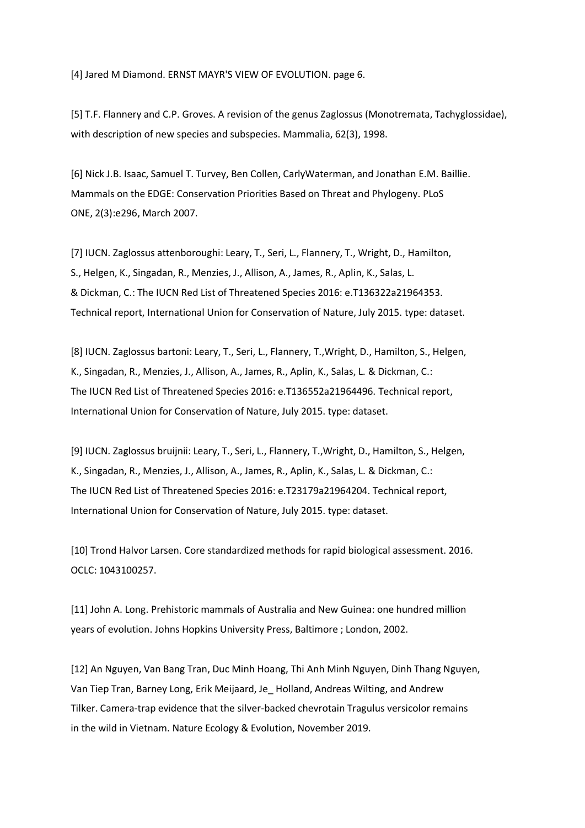[4] Jared M Diamond. ERNST MAYR'S VIEW OF EVOLUTION. page 6.

[5] T.F. Flannery and C.P. Groves. A revision of the genus Zaglossus (Monotremata, Tachyglossidae), with description of new species and subspecies. Mammalia, 62(3), 1998.

[6] Nick J.B. Isaac, Samuel T. Turvey, Ben Collen, CarlyWaterman, and Jonathan E.M. Baillie. Mammals on the EDGE: Conservation Priorities Based on Threat and Phylogeny. PLoS ONE, 2(3):e296, March 2007.

[7] IUCN. Zaglossus attenboroughi: Leary, T., Seri, L., Flannery, T., Wright, D., Hamilton, S., Helgen, K., Singadan, R., Menzies, J., Allison, A., James, R., Aplin, K., Salas, L. & Dickman, C.: The IUCN Red List of Threatened Species 2016: e.T136322a21964353. Technical report, International Union for Conservation of Nature, July 2015. type: dataset.

[8] IUCN. Zaglossus bartoni: Leary, T., Seri, L., Flannery, T.,Wright, D., Hamilton, S., Helgen, K., Singadan, R., Menzies, J., Allison, A., James, R., Aplin, K., Salas, L. & Dickman, C.: The IUCN Red List of Threatened Species 2016: e.T136552a21964496. Technical report, International Union for Conservation of Nature, July 2015. type: dataset.

[9] IUCN. Zaglossus bruijnii: Leary, T., Seri, L., Flannery, T.,Wright, D., Hamilton, S., Helgen, K., Singadan, R., Menzies, J., Allison, A., James, R., Aplin, K., Salas, L. & Dickman, C.: The IUCN Red List of Threatened Species 2016: e.T23179a21964204. Technical report, International Union for Conservation of Nature, July 2015. type: dataset.

[10] Trond Halvor Larsen. Core standardized methods for rapid biological assessment. 2016. OCLC: 1043100257.

[11] John A. Long. Prehistoric mammals of Australia and New Guinea: one hundred million years of evolution. Johns Hopkins University Press, Baltimore ; London, 2002.

[12] An Nguyen, Van Bang Tran, Duc Minh Hoang, Thi Anh Minh Nguyen, Dinh Thang Nguyen, Van Tiep Tran, Barney Long, Erik Meijaard, Je\_ Holland, Andreas Wilting, and Andrew Tilker. Camera-trap evidence that the silver-backed chevrotain Tragulus versicolor remains in the wild in Vietnam. Nature Ecology & Evolution, November 2019.